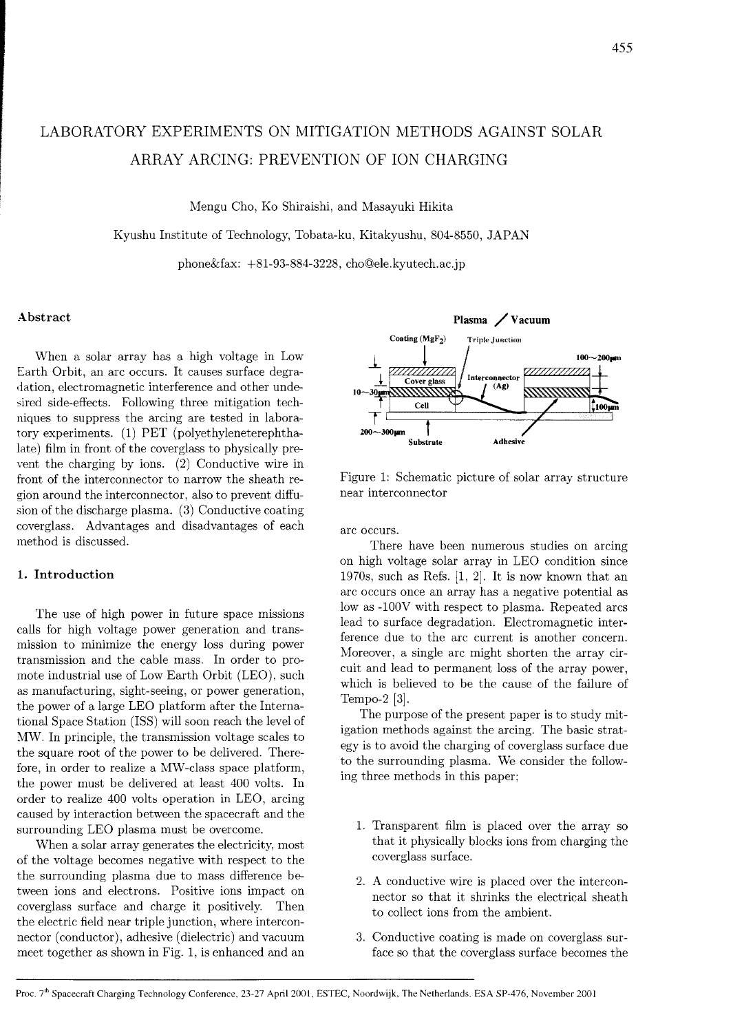# LABORATORY EXPERIMENTS ON MITIGATION METHODS AGAINST SOLAR ARRAY ARCING: PREVENTION OF ION CHARGING

Mengu Cho, Ko Shiraishi, and Masayuki Hikita

Kyushu Institute of Technology, Tobata-ku, Kitakyushu, 804-8550, JAPAN

phone $\&$ fax: +81-93-884-3228, cho@ele.kyutech.ac.jp

### Abstract

When a solar array has a high voltage in Low Earth Orbit, an arc occurs. It causes surface degra dation, electromagnetic interference and other undesired side-effects. Following three mitigation techniques to suppress the arcing are tested in laboratory experiments. (1) PET (polyethyleneterephthalate) film in front of the coverglass to physically prevent the charging by ions. (2) Conductive wire in front of the interconnector to narrow the sheath region around the interconnector, also to prevent diffusion of the discharge plasma. (3) Conductive coating coverglass. Advantages and disadvantages of each method is discussed.

## 1. Introduction

The use of high power in future space missions calls for high voltage power generation and transmission to minimize the energy loss during power transmission and the cable mass. In order to promote industrial use of Low Earth Orbit (LEO), such as manufacturing, sight-seeing, or power generation, the power of a large LEO platform after the International Space Station (ISS) will soon reach the level of MW. In principle, the transmission voltage scales to the square root of the power to be delivered. Therefore, in order to realize a MW-class space platform, the power must be delivered at least 400 volts. In order to realize 400 volts operation in LEO, arcing caused by interaction between the spacecraft and the surrounding LEO plasma must be overcome.

When a solar array generates the electricity, most of the voltage becomes negative with respect to the the surrounding plasma due to mass difference between ions and electrons. Positive ions impact on coverglass surface and charge it positively. Then the electric field near triple junction, where interconnector (conductor), adhesive (dielectric) and vacuum meet together as shown in Fig. 1, is enhanced and an



Figure 1: Schematic picture of solar array structure near interconnector

arc occurs.

There have been numerous studies on arcing on high voltage solar array in LEO condition since 1970s, such as Refs.  $[1, 2]$ . It is now known that an arc occurs once an array has a negative potential as low as -100V with respect to plasma. Repeated arcs lead to surface degradation. Electromagnetic interference due to the arc current is another concern. Moreover, a single arc might shorten the array circuit and lead to permanent loss of the array power, which is believed to be the cause of the failure of Tempo-2 [3].

The purpose of the present paper is to study mitigation methods against the arcing. The basic strategy is to avoid the charging of coverglass surface due to the surrounding plasma. We consider the following three methods in this paper;

- 1. Transparent film is placed over the array so that it physically blocks ions from charging the coverglass surface.
- 2. A conductive wire is placed over the interconnector so that it shrinks the electrical sheath to collect ions from the ambient.
- 3. Conductive coating is made on coverglass surface so that the coverglass surface becomes the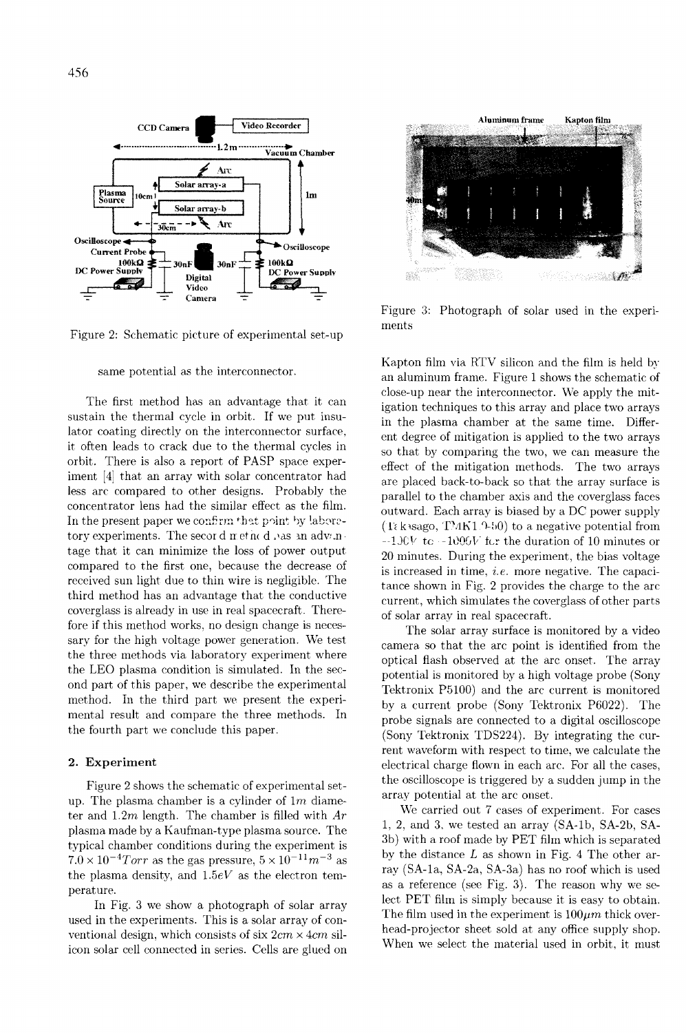

Figure 2: Schematic picture of experimental set-up

same potential as the interconnector.

The first method has an advantage that it can sustain the thermal cycle in orbit. If we put insulator coating directly on the interconnector surface, it often leads to crack due to the thermal cycles in orbit. There is also a report of PASP space experiment [4] that an array with solar concentrator had less arc compared to other designs. Probably the concentrator lens had the similar effect as the film. In the present paper we confirm that point by laboretory experiments. The secor d net nc d .Ias an adv: n. tage that it can minimize the loss of power output compared to the first one, because the decrease of received sun light due to thin wire is negligible. The third method has an advantage that the conductive coverglass is already in use in real spacecraft. Therefore if this method works, no design change is necessary for the high voltage power generation. We test the three methods via laboratory experiment where the LEO plasma condition is simulated. In the second part of this paper, we describe the experimental method. In the third part we present the experimental result and compare the three methods. In the fourth part we conclude this paper.

#### **2. Experiment**

Figure 2 shows the schematic of experimental setup. The plasma chamber is a cylinder of  $1m$  diameter and  $1.2m$  length. The chamber is filled with  $Ar$ plasma made by a Kaufman-type plasma source. The typical chamber conditions during the experiment is  $7.0 \times 10^{-4} Torr$  as the gas pressure,  $5 \times 10^{-11} m^{-3}$  as the plasma density, and  $1.5eV$  as the electron temperat ure.

In Fig. 3 we show a photograph of solar array used in the experiments. This is a solar array of conventional design, which consists of six  $2cm \times 4cm$  silicon solar cell connected in series. Cells are glued on



Figure **3:** Photograph of solar used in the experiments

Kapton film via RTV silicon and the film is held by an aluminum frame. Figure 1 shows the schematic of close-up near the interconnector. We apply the mitigation techniques to this array and place two arrays in the plasma chamber at the same time. Different degree of mitigation is applied to the two arrays so that by comparing the two, we can measure the effect of the mitigation methods. The two arrays are placed back-to-back so that the array surface is parallel to the chamber axis and the coverglass faces outward. Each array is biased by a DC power supply  $(T_{\epsilon}$  kusago,  $T/MK1$  9-50) to a negative potential from  $-1$ J $\mathbb{C}V$  to  $-1$  $\mathbb{C}Q\mathbb{G}V$  for the duration of 10 minutes or 20 minutes. During the experiment, the bias voltage is increased in time, *i.e.* more negative. The capacitance shown in Fig. 2 provides the charge to the arc current, which simulates the coverglass of other parts of solar array in real spacecraft.

The solar array surface is monitored by a video camera so that the arc point is identified from the optical flash observed at the arc onset. The array potential is monitored by a high voltage probe (Sony Tektronix P5100) and the arc current is monitored by a current probe (Sony Tektronix P6022). The probe signals are connected to a digital oscilloscope (Sony Tektronix TDS224). By integrating the current waveform with respect to time, we calculate the electrical charge flown in each arc. For all the cases, the oscilloscope is triggered by a sudden jump in the array potential at the arc onset.

\Ve carried out 7 cases of experiment. For cases 1, 2, and 3, we tested an array (SA-lb, SA-2b, SA-3b) with a roof made by PET film which is separated by the distance  $L$  as shown in Fig. 4 The other array (SA-la, SA-2a, SA-3a) has no roof which is used as a reference (see Fig. 3). The reason why we select PET film is simply because it is easy to obtain. The film used in the experiment is  $100\mu m$  thick overhead-projector sheet sold at any office supply shop. When we select the material used in orbit, it must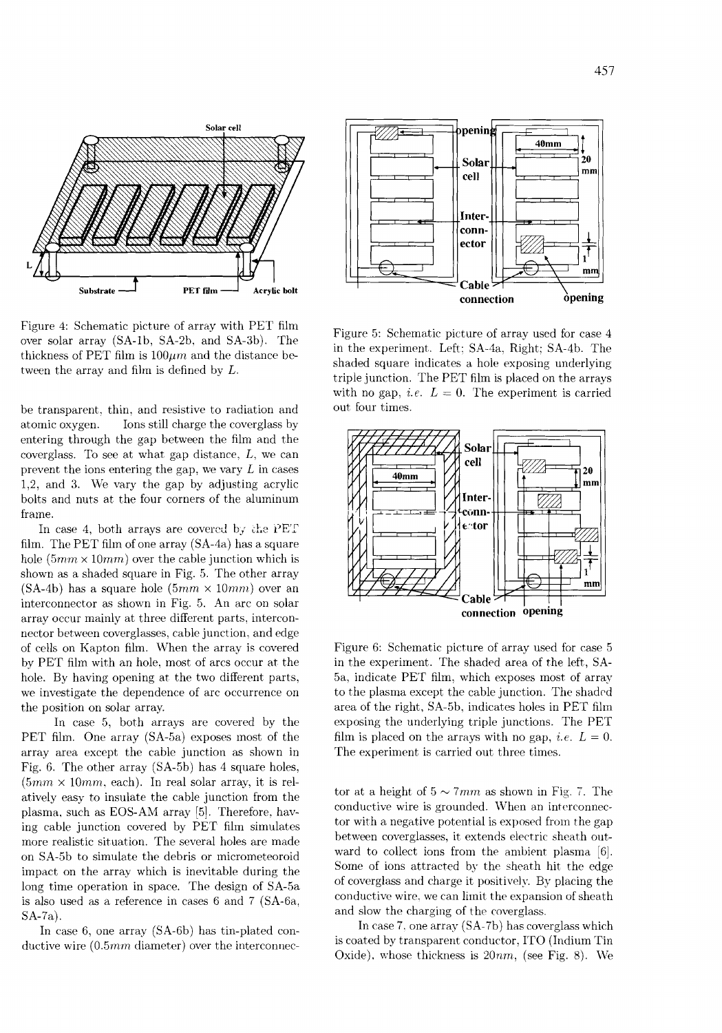

Figure 4: Schematic picture of array with PET film over solar array (SA-lb, SA-2b, and SA-3b). The thickness of PET film is  $100 \mu m$  and the distance between the array and film is defined by L.

be transparent. thin. and resistive to radiation and atomic oxygen. Ions still charge the coverglass by entering through the gap between the film and the coverglass. To see at what gap distance,  $L$ , we can prevent the ions entering the gap, we vary  $L$  in cases 1,2, and 3. We vary the gap by adjusting acrylic bolts and nuts at the four corners of the aluminum frame.

In case 4, both arrays are covered by the PET film. The PET film of one array (SA-4d) has a square hole  $(5mm \times 10mm)$  over the cable junction which is shown as a shaded square in Fig. 5. The other array (SA-4b) has a square hole  $(5mm \times 10mm)$  over an interconnector as shown in Fig. 5. An arc on solar array occur mainly at three different parts, interconnector between coverglasses, cable junction, and edge of cells on Kapton film. When the array is covered by PET film with an hole. most of arcs occur at the hole. By having opening at the two different parts, we investigate the dependence of arc occurrence on the position on solar array.

In case 5, both arrays are covered by the PET film. One array (SA-5a) exposes most of the array area except the cable junction as shown in Fig. 6. The other array (SA-5b) has 4 square holes.  $(5mm \times 10mm, each)$ . In real solar array, it is relatively easy to insulate the cable junction from the plasma, such as EOS-AM array [5]. Therefore. having cable junction covered by PET film simulates more realistic situation. The several holes are made on SA-5b to simulate the debris or micrometeoroid impact on the array which is inevitable during the long time operation in space. The design of SA-5a is also used as a reference in cases 6 and 7 (SA-6a, SA-7a).

In case 6, one array (SA-6b) has tin-plated conductive wire (0.5mm diameter) over the interconnec-



Figure 5: Schematic picture of array used for case 4 in the experiment. Left: SA-4a, Right; SA-4b. The shaded square indicates a hole exposing underlying triple junction. The PET film is placed on the arrays with no gap, *i.e.*  $L = 0$ . The experiment is carried out four times.



Figure 6: Schematic picture of array used for case 5 in the experiment. The shaded area of the left, SA-5a, indicate PET film, which exposes most of array to the plasma except the cable junction. The shaded area of the right, SA-5b, indicates holes in PET film exposing the underlying triple junctions. The PET film is placed on the arrays with no gap, *i.e.*  $L = 0$ . The experiment is carried out three times.

tor at a height of  $5 \sim 7 \, \text{mm}$  as shown in Fig. 7. The conductive wire is grounded. When an interconnector with a negative potential is exposed from the gap between coverglasses, it extends electric sheath outward to collect ions from the ambient plasma [6]. Some of ions attracted by the sheath hit the edge of coverglass and charge it positively. By placing the conductive wire, we can limit the expansion of sheath and slow the charging of the coverglass.

In case 7. one array (SA-7b) has coverglass which is coated by transparent conductor, IT0 (Indium Tin Oxide), whose thickness is  $20nm$ , (see Fig. 8). We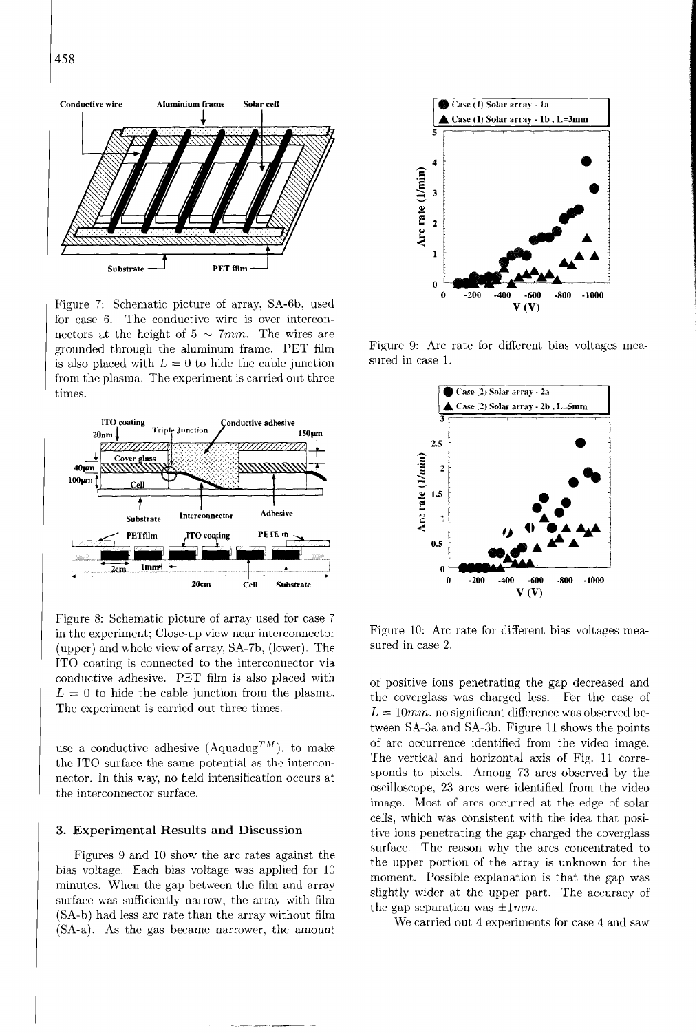458



Figure 7: Schematic picture of array, SA-Gb, used for case 6. The conductive wire is over interconnectors at the height of  $5 \sim 7mm$ . The wires are grounded through the aluminum frame. PET film is also placed with  $L = 0$  to hide the cable junction from the plasma. The experiment is carried out three times.



Figure 8: Schematic picture of array used for case 7 in the experiment: Close-up view near interconnector (upper) and whole view of array, SA-7b, (lower). The IT0 coating is connected to the interconnector via conductive adhesive. PET film is also placed with  $L = 0$  to hide the cable junction from the plasma. The experiment is carried out three times.

use a conductive adhesive (Aquadug<sup>TM</sup>), to make the ITO surface the same potential as the interconnector. In this way, no field intensification occurs at the interconnector surface.

#### 3. Experimental Results **and** Discussion

Figures 9 and 10 show the arc rates against the bias voltage. Each bias voltage was applied for 10 minutes. When the gap between thc film and array surface was sufficiently narrow, the array with film (SA-b) had less arc rate than the array without filrn (SA-a). As the gas became narrower, the amount



Figure 9: Arc rate for different bias voltages measured in case l.



Figure 10: Arc rate for different bias voltages measured in case 2.

of positive ions penetrating the gap decreased and the coverglass was charged less. For the case of  $L = 10mm$ , no significant difference was observed between SA-3a and SA-3b. Figure ll shows the points of arc occurrence identified from the video image. The vertical and horizontal axis of Fig. 11 corresponds to pixels. Among 73 arcs observed by the oscilloscope, 23 arcs were identified from the video image. Most of arcs occurred at the edge of solar cells, which was consistent with the idea that positive ions penetrating the gap charged the coverglass surface. The reason why the arcs concentrated to the upper portion of the array is unknown for the moment. Possible explanation is that the gap was slightly wider at the upper part. The accuracy of the gap separation was  $\pm 1mm$ .

We carried out 4 experiments for case 4 and saw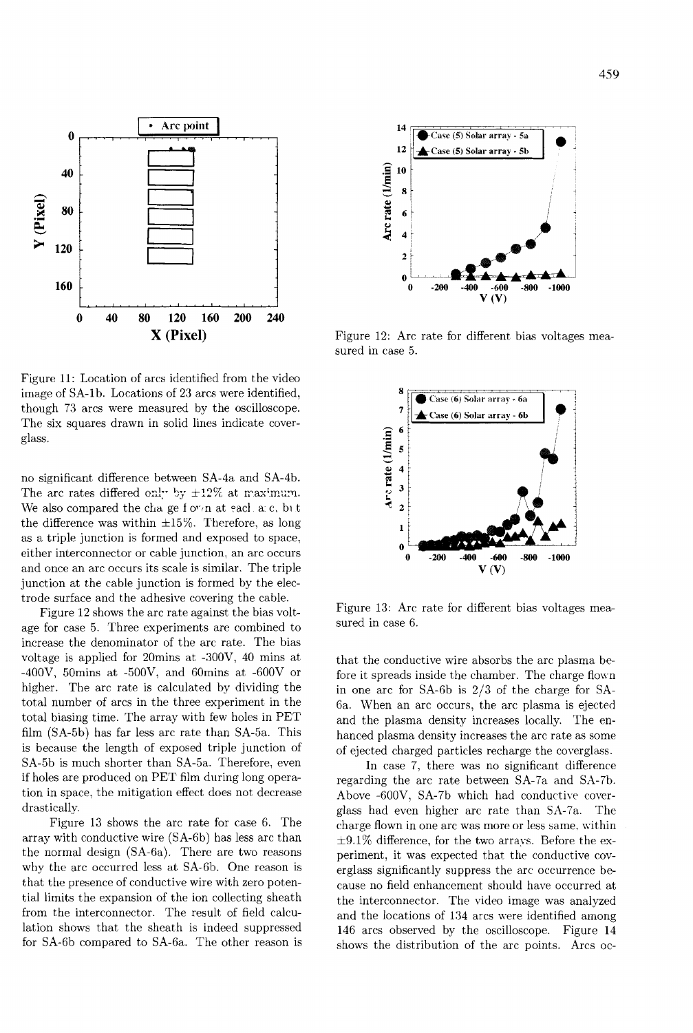

Figure 11: Location of arcs identified from the video image of SA-lb. Locations of 23 arcs were identified, though 73 arcs were measured by the oscilloscope. The six squares drawn in solid lines indicate coverglass.

no significant difference between SA-4a and SA-4b. The arc rates differed only by  $\pm 12\%$  at maximum. We also compared the cha ge f o $v/n$  at eacl a c, bit the difference was within  $\pm 15\%$ . Therefore, as long as a triple junction is formed and exposed to space, either interconnector or cable junction, an arc occurs and once an arc occurs its scale is similar. The triple junction at the cable junction is formed by the electrode surface and the adhesive covering the cable.

Figure 12 shows the arc rate against the bias voltage for case 5. Three experiments are combined to increase the denominator of the arc rate. The bias voltage is applied for 20mins at -300V, 40 mins at -400V, 50mins at -500V, and 60mins at -600V or higher. The arc rate is calculated by dividing the total number of arcs in the three experiment in the total biasing time. The array with few holes in PET film (SA-5b) has far less arc rate than SA-5a. This is because the length of exposed triple junction of SA-5b is much shorter than SA-5a. Therefore, even if holes are produced on PET film during long operation in space, the mitigation effect does not decrease drastically.

Figure 13 shows the arc rate for case 6. The array with conductive wire (SA-6b) has less arc than the normal design (SA-Ga). There are two reasons why the arc occurred less at SA-6b. One reason is that the presence of conductive wire with zero potential limits the expansion of the ion collecting sheath from the interconnector. The result of field calculation shows that the sheath is indeed suppressed for SA-6b compared to SA-6a. The other reason is



Figure 12: Arc rate for different bias voltages measured in case 5.



Figure 13: Arc rate for different bias voltages measured in case 6.

that the conductive wire absorbs the arc plasma before it spreads inside the chamber. The charge flown in one arc for SA-6b is  $2/3$  of the charge for SA-6a. When an arc occurs, the arc plasma is ejected and the plasma density increases locally. The enhanced plasma density increases the arc rate as some of ejected charged particles recharge the coverglass.

In case 7, there was no significant difference regarding the arc rate between SA-7a and SX-7b. Above  $-600V$ , SA-7b which had conductive coverglass had even higher arc rate than SA-7a. The charge flown in one arc was more or less same. within  $\pm 9.1\%$  difference, for the two arrays. Before the experiment, it was expected that the conductive coverglass significantly suppress the arc occurrence because no field enhancement should have occurred at the interconnector. The video image was analyzed and the locations of 134 arcs were identified among 146 arcs observed by the oscilloscope. Figure 14 shows the distribution of the arc points. Arcs oc-